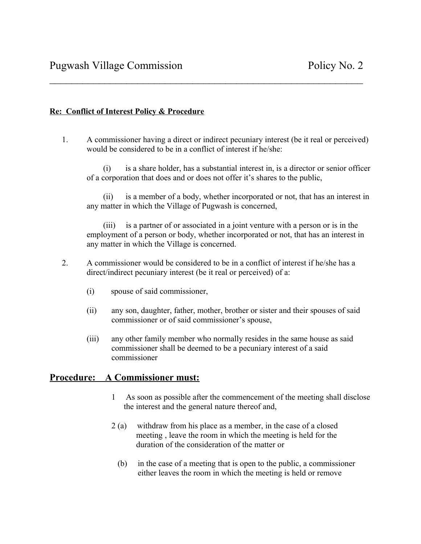## **Re: Conflict of Interest Policy & Procedure**

1. A commissioner having a direct or indirect pecuniary interest (be it real or perceived) would be considered to be in a conflict of interest if he/she:

 $\mathcal{L}_\text{max}$  , and the contract of the contract of the contract of the contract of the contract of the contract of the contract of the contract of the contract of the contract of the contract of the contract of the contr

 (i) is a share holder, has a substantial interest in, is a director or senior officer of a corporation that does and or does not offer it's shares to the public,

 (ii) is a member of a body, whether incorporated or not, that has an interest in any matter in which the Village of Pugwash is concerned,

 (iii) is a partner of or associated in a joint venture with a person or is in the employment of a person or body, whether incorporated or not, that has an interest in any matter in which the Village is concerned.

- 2. A commissioner would be considered to be in a conflict of interest if he/she has a direct/indirect pecuniary interest (be it real or perceived) of a:
	- (i) spouse of said commissioner,
	- (ii) any son, daughter, father, mother, brother or sister and their spouses of said commissioner or of said commissioner's spouse,
	- (iii) any other family member who normally resides in the same house as said commissioner shall be deemed to be a pecuniary interest of a said commissioner

## **Procedure: A Commissioner must:**

- 1 As soon as possible after the commencement of the meeting shall disclose the interest and the general nature thereof and,
- 2 (a) withdraw from his place as a member, in the case of a closed meeting , leave the room in which the meeting is held for the duration of the consideration of the matter or
	- (b) in the case of a meeting that is open to the public, a commissioner either leaves the room in which the meeting is held or remove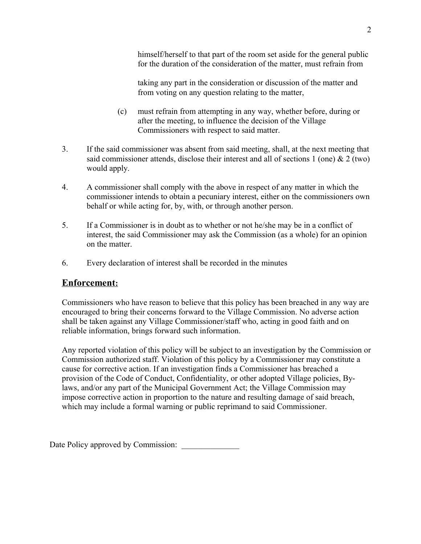himself/herself to that part of the room set aside for the general public for the duration of the consideration of the matter, must refrain from

taking any part in the consideration or discussion of the matter and from voting on any question relating to the matter,

- (c) must refrain from attempting in any way, whether before, during or after the meeting, to influence the decision of the Village Commissioners with respect to said matter.
- 3. If the said commissioner was absent from said meeting, shall, at the next meeting that said commissioner attends, disclose their interest and all of sections 1 (one)  $\&$  2 (two) would apply.
- 4. A commissioner shall comply with the above in respect of any matter in which the commissioner intends to obtain a pecuniary interest, either on the commissioners own behalf or while acting for, by, with, or through another person.
- 5. If a Commissioner is in doubt as to whether or not he/she may be in a conflict of interest, the said Commissioner may ask the Commission (as a whole) for an opinion on the matter.
- 6. Every declaration of interest shall be recorded in the minutes

## **Enforcement :**

Commissioners who have reason to believe that this policy has been breached in any way are encouraged to bring their concerns forward to the Village Commission. No adverse action shall be taken against any Village Commissioner/staff who, acting in good faith and on reliable information, brings forward such information.

Any reported violation of this policy will be subject to an investigation by the Commission or Commission authorized staff. Violation of this policy by a Commissioner may constitute a cause for corrective action. If an investigation finds a Commissioner has breached a provision of the Code of Conduct, Confidentiality, or other adopted Village policies, Bylaws, and/or any part of the Municipal Government Act; the Village Commission may impose corrective action in proportion to the nature and resulting damage of said breach, which may include a formal warning or public reprimand to said Commissioner.

Date Policy approved by Commission: